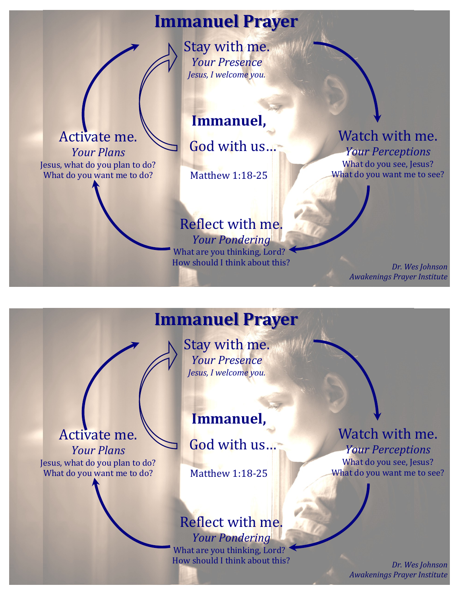## **Immanuel Prayer**

Stay with me. *Your Presence Jesus, I welcome you.*

### **Immanuel,**

Activate me. *Your Plans* Jesus, what do you plan to do? What do you want me to do?

Activate me.

*Your Plans* Jesus, what do you plan to do? What do you want me to do?

God with us…

Matthew 1:18-25

### Watch with me. *Your Perceptions*

What do you see, Jesus? What do you want me to see?

## Reflect with me.

*Your Pondering* What are you thinking, Lord? How should I think about this? *Dr. Wes Johnson*

*Awakenings Prayer Institute*

## **Immanuel Prayer**

Stay with me. *Your Presence Jesus, I welcome you.*

## **Immanuel,**

God with us…

Matthew 1:18-25

# Reflect with me.

*Your Pondering* What are you thinking, Lord? How should I think about this? *Dr. Wes Johnson*

Watch with me. *Your Perceptions* What do you see, Jesus? What do you want me to see?

*Awakenings Prayer Institute*